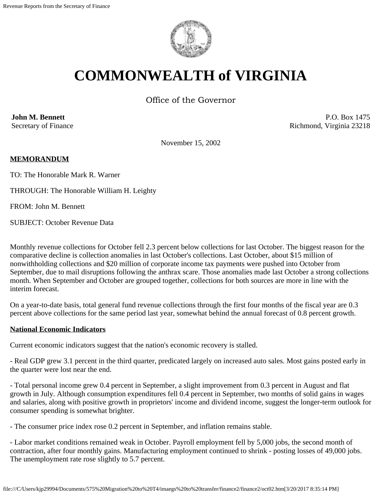

# **COMMONWEALTH of VIRGINIA**

Office of the Governor

**John M. Bennett** Secretary of Finance

P.O. Box 1475 Richmond, Virginia 23218

November 15, 2002

## **MEMORANDUM**

TO: The Honorable Mark R. Warner

THROUGH: The Honorable William H. Leighty

FROM: John M. Bennett

SUBJECT: October Revenue Data

Monthly revenue collections for October fell 2.3 percent below collections for last October. The biggest reason for the comparative decline is collection anomalies in last October's collections. Last October, about \$15 million of nonwithholding collections and \$20 million of corporate income tax payments were pushed into October from September, due to mail disruptions following the anthrax scare. Those anomalies made last October a strong collections month. When September and October are grouped together, collections for both sources are more in line with the interim forecast.

On a year-to-date basis, total general fund revenue collections through the first four months of the fiscal year are 0.3 percent above collections for the same period last year, somewhat behind the annual forecast of 0.8 percent growth.

#### **National Economic Indicators**

Current economic indicators suggest that the nation's economic recovery is stalled.

- Real GDP grew 3.1 percent in the third quarter, predicated largely on increased auto sales. Most gains posted early in the quarter were lost near the end.

- Total personal income grew 0.4 percent in September, a slight improvement from 0.3 percent in August and flat growth in July. Although consumption expenditures fell 0.4 percent in September, two months of solid gains in wages and salaries, along with positive growth in proprietors' income and dividend income, suggest the longer-term outlook for consumer spending is somewhat brighter.

- The consumer price index rose 0.2 percent in September, and inflation remains stable.

- Labor market conditions remained weak in October. Payroll employment fell by 5,000 jobs, the second month of contraction, after four monthly gains. Manufacturing employment continued to shrink - posting losses of 49,000 jobs. The unemployment rate rose slightly to 5.7 percent.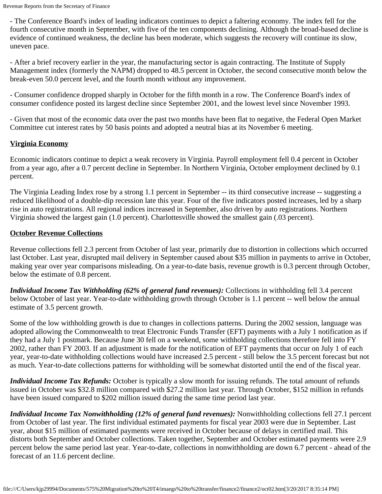- The Conference Board's index of leading indicators continues to depict a faltering economy. The index fell for the fourth consecutive month in September, with five of the ten components declining. Although the broad-based decline is evidence of continued weakness, the decline has been moderate, which suggests the recovery will continue its slow, uneven pace.

- After a brief recovery earlier in the year, the manufacturing sector is again contracting. The Institute of Supply Management index (formerly the NAPM) dropped to 48.5 percent in October, the second consecutive month below the break-even 50.0 percent level, and the fourth month without any improvement.

- Consumer confidence dropped sharply in October for the fifth month in a row. The Conference Board's index of consumer confidence posted its largest decline since September 2001, and the lowest level since November 1993.

- Given that most of the economic data over the past two months have been flat to negative, the Federal Open Market Committee cut interest rates by 50 basis points and adopted a neutral bias at its November 6 meeting.

# **Virginia Economy**

Economic indicators continue to depict a weak recovery in Virginia. Payroll employment fell 0.4 percent in October from a year ago, after a 0.7 percent decline in September. In Northern Virginia, October employment declined by 0.1 percent.

The Virginia Leading Index rose by a strong 1.1 percent in September -- its third consecutive increase -- suggesting a reduced likelihood of a double-dip recession late this year. Four of the five indicators posted increases, led by a sharp rise in auto registrations. All regional indices increased in September, also driven by auto registrations. Northern Virginia showed the largest gain (1.0 percent). Charlottesville showed the smallest gain (.03 percent).

# **October Revenue Collections**

Revenue collections fell 2.3 percent from October of last year, primarily due to distortion in collections which occurred last October. Last year, disrupted mail delivery in September caused about \$35 million in payments to arrive in October, making year over year comparisons misleading. On a year-to-date basis, revenue growth is 0.3 percent through October, below the estimate of 0.8 percent.

*Individual Income Tax Withholding (62% of general fund revenues):* Collections in withholding fell 3.4 percent below October of last year. Year-to-date withholding growth through October is 1.1 percent -- well below the annual estimate of 3.5 percent growth.

Some of the low withholding growth is due to changes in collections patterns. During the 2002 session, language was adopted allowing the Commonwealth to treat Electronic Funds Transfer (EFT) payments with a July 1 notification as if they had a July 1 postmark. Because June 30 fell on a weekend, some withholding collections therefore fell into FY 2002, rather than FY 2003. If an adjustment is made for the notification of EFT payments that occur on July 1 of each year, year-to-date withholding collections would have increased 2.5 percent - still below the 3.5 percent forecast but not as much. Year-to-date collections patterns for withholding will be somewhat distorted until the end of the fiscal year.

*Individual Income Tax Refunds:* October is typically a slow month for issuing refunds. The total amount of refunds issued in October was \$32.8 million compared with \$27.2 million last year. Through October, \$152 million in refunds have been issued compared to \$202 million issued during the same time period last year.

*Individual Income Tax Nonwithholding (12% of general fund revenues):* Nonwithholding collections fell 27.1 percent from October of last year. The first individual estimated payments for fiscal year 2003 were due in September. Last year, about \$15 million of estimated payments were received in October because of delays in certified mail. This distorts both September and October collections. Taken together, September and October estimated payments were 2.9 percent below the same period last year. Year-to-date, collections in nonwithholding are down 6.7 percent - ahead of the forecast of an 11.6 percent decline.